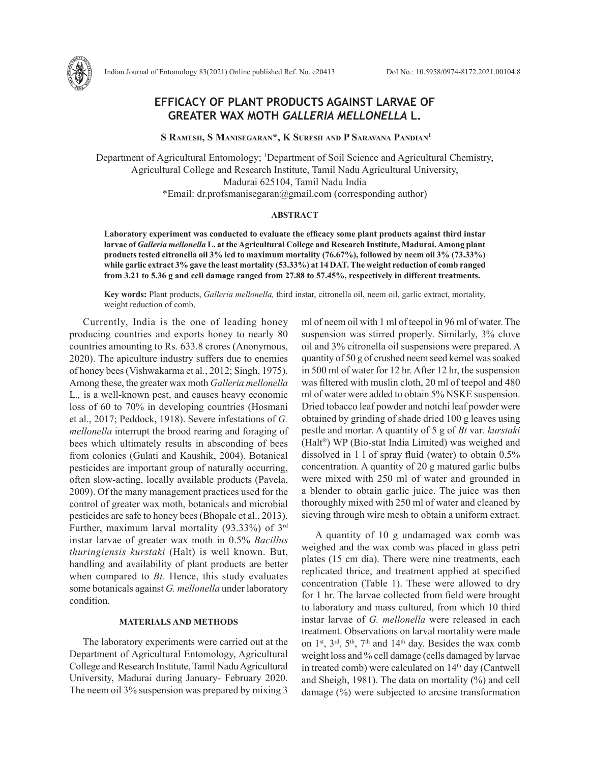

Indian Journal of Entomology 83(2021) Online published Ref. No. e20413 DoI No.: 10.5958/0974-8172.2021.00104.8

# **EFFICACY OF PLANT PRODUCTS AGAINST LARVAE OF GREATER WAX MOTH** *GALLERIA MELLONELLA* **L.**

 **S Ramesh, S Manisegaran\*, K Suresh and P Saravana Pandian1**

Department of Agricultural Entomology; 1 Department of Soil Science and Agricultural Chemistry, Agricultural College and Research Institute, Tamil Nadu Agricultural University, Madurai 625104, Tamil Nadu India \*Email: dr.profsmanisegaran@gmail.com (corresponding author)

## **ABSTRACT**

**Laboratory experiment was conducted to evaluate the efficacy some plant products against third instar larvae of** *Galleria mellonella* **L. at the Agricultural College and Research Institute, Madurai. Among plant products tested citronella oil 3% led to maximum mortality (76.67%), followed by neem oil 3% (73.33%) while garlic extract 3% gave the least mortality (53.33%) at 14 DAT. The weight reduction of comb ranged from 3.21 to 5.36 g and cell damage ranged from 27.88 to 57.45%, respectively in different treatments.**

**Key words:** Plant products, *Galleria mellonella,* third instar, citronella oil, neem oil, garlic extract, mortality, weight reduction of comb,

Currently, India is the one of leading honey producing countries and exports honey to nearly 80 countries amounting to Rs. 633.8 crores (Anonymous, 2020). The apiculture industry suffers due to enemies of honey bees (Vishwakarma et al*.*, 2012; Singh, 1975). Among these, the greater wax moth *Galleria mellonella*  L.*,* is a well-known pest, and causes heavy economic loss of 60 to 70% in developing countries (Hosmani et al., 2017; Peddock, 1918). Severe infestations of *G. mellonella* interrupt the brood rearing and foraging of bees which ultimately results in absconding of bees from colonies (Gulati and Kaushik, 2004). Botanical pesticides are important group of naturally occurring, often slow-acting, locally available products (Pavela, 2009). Of the many management practices used for the control of greater wax moth, botanicals and microbial pesticides are safe to honey bees (Bhopale et al., 2013). Further, maximum larval mortality (93.33%) of 3rd instar larvae of greater wax moth in 0.5% *Bacillus thuringiensis kurstaki* (Halt) is well known. But, handling and availability of plant products are better when compared to *Bt*. Hence, this study evaluates some botanicals against *G. mellonella* under laboratory condition.

# **MATERIALS AND METHODS**

The laboratory experiments were carried out at the Department of Agricultural Entomology, Agricultural College and Research Institute, Tamil Nadu Agricultural University, Madurai during January- February 2020. The neem oil 3% suspension was prepared by mixing 3 ml of neem oil with 1 ml of teepol in 96 ml of water. The suspension was stirred properly. Similarly, 3% clove oil and 3% citronella oil suspensions were prepared. A quantity of 50 g of crushed neem seed kernel was soaked in 500 ml of water for 12 hr. After 12 hr, the suspension was filtered with muslin cloth, 20 ml of teepol and 480 ml of water were added to obtain 5% NSKE suspension. Dried tobacco leaf powder and notchi leaf powder were obtained by grinding of shade dried 100 g leaves using pestle and mortar. A quantity of 5 g of *Bt* var*. kurstaki*  (Halt®) WP (Bio-stat India Limited) was weighed and dissolved in 1 l of spray fluid (water) to obtain 0.5% concentration. A quantity of 20 g matured garlic bulbs were mixed with 250 ml of water and grounded in a blender to obtain garlic juice. The juice was then thoroughly mixed with 250 ml of water and cleaned by sieving through wire mesh to obtain a uniform extract.

A quantity of 10 g undamaged wax comb was weighed and the wax comb was placed in glass petri plates (15 cm dia). There were nine treatments, each replicated thrice, and treatment applied at specified concentration (Table 1). These were allowed to dry for 1 hr. The larvae collected from field were brought to laboratory and mass cultured, from which 10 third instar larvae of *G. mellonella* were released in each treatment. Observations on larval mortality were made on  $1<sup>st</sup>$ ,  $3<sup>rd</sup>$ ,  $5<sup>th</sup>$ ,  $7<sup>th</sup>$  and  $14<sup>th</sup>$  day. Besides the wax comb weight loss and % cell damage (cells damaged by larvae in treated comb) were calculated on  $14<sup>th</sup>$  day (Cantwell and Sheigh, 1981). The data on mortality (%) and cell damage (%) were subjected to arcsine transformation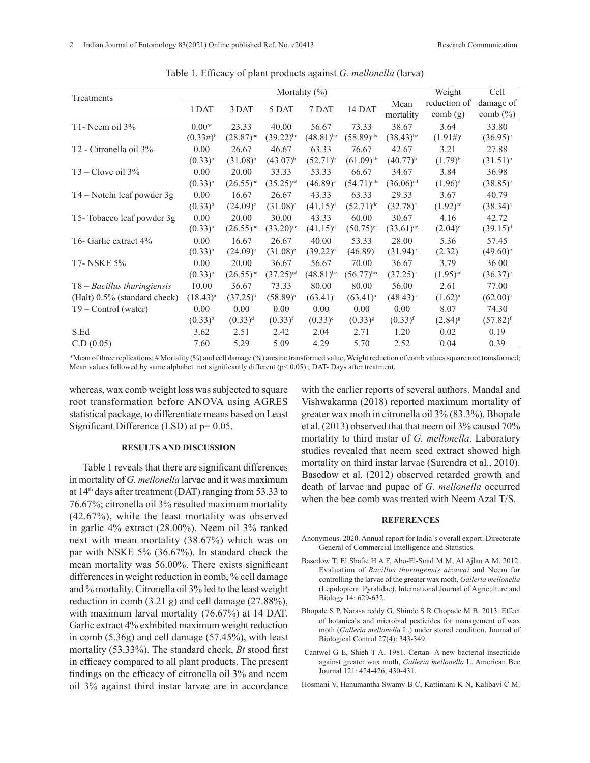|                                    | Mortality $(\%)$ |                   |                         |                         |                          |                         | Weight                  | Cell                     |
|------------------------------------|------------------|-------------------|-------------------------|-------------------------|--------------------------|-------------------------|-------------------------|--------------------------|
| Treatments                         | 1 DAT            | 3 DAT             | 5 DAT                   | 7 DAT                   | 14 DAT                   | Mean<br>mortality       | reduction of<br>comb(g) | damage of<br>comb $(\%)$ |
| T1- Neem oil 3%                    | $0.00*$          | 23.33             | 40.00                   | 56.67                   | 73.33                    | 38.67                   | 3.64                    | 33.80                    |
|                                    | $(0.33\#)^{b}$   | $(28.87)^{bc}$    | $(39.22)^{bc}$          | $(48.81)$ <sup>bc</sup> | $(58.89)$ <sup>abc</sup> | $(38.43)$ <sup>bc</sup> | $(1.91\#)^c$            | $(36.95)^{\circ}$        |
| T <sub>2</sub> - Citronella oil 3% | 0.00             | 26.67             | 46.67                   | 63.33                   | 76.67                    | 42.67                   | 3.21                    | 27.88                    |
|                                    | $(0.33)^{b}$     | $(31.08)^{b}$     | $(43.07)^{b}$           | $(52.71)^{b}$           | $(61.09)$ <sup>ab</sup>  | $(40.77)^{b}$           | $(1.79)^{b}$            | $(31.51)^{b}$            |
| $T3 -$ Clove oil $3\%$             | 0.00             | 20.00             | 33.33                   | 53.33                   | 66.67                    | 34.67                   | 3.84                    | 36.98                    |
|                                    | $(0.33)^{b}$     | $(26.55)^{bc}$    | $(35.25)$ <sup>cd</sup> | $(46.89)^c$             | $(54.71)^{cde}$          | $(36.06)$ <sup>cd</sup> | $(1.96)^d$              | $(38.85)^c$              |
| T4 – Notchi leaf powder 3g         | 0.00             | 16.67             | 26.67                   | 43.33                   | 63.33                    | 29.33                   | 3.67                    | 40.79                    |
|                                    | $(0.33)^{b}$     | $(24.09)^{\circ}$ | $(31.08)^e$             | $(41.15)^d$             | $(52.71)^{de}$           | $(32.78)^e$             | $(1.92)^{cd}$           | $(38.34)^c$              |
| T5-Tobacco leaf powder 3g          | 0.00             | 20.00             | 30.00                   | 43.33                   | 60.00                    | 30.67                   | 4.16                    | 42.72                    |
|                                    | $(0.33)^{b}$     | $(26.55)^{bc}$    | $(33.20)$ <sup>de</sup> | $(41.15)^d$             | $(50.75)$ <sup>ef</sup>  | $(33.61)$ <sup>de</sup> | $(2.04)^e$              | $(39.15)^d$              |
| T6- Garlic extract 4%              | 0.00             | 16.67             | 26.67                   | 40.00                   | 53.33                    | 28.00                   | 5.36                    | 57.45                    |
|                                    | $(0.33)^{b}$     | $(24.09)^{\circ}$ | $(31.08)^e$             | $(39.22)^{d}$           | $(46.89)^{f}$            | $(31.94)$ <sup>e</sup>  | $(2.32)^{f}$            | $(49.60)$ <sup>e</sup>   |
| <b>T7- NSKE 5%</b>                 | 0.00             | 20.00             | 36.67                   | 56.67                   | 70.00                    | 36.67                   | 3.79                    | 36.00                    |
|                                    | $(0.33)^{b}$     | $(26.55)^{bc}$    | $(37.25)$ <sup>cd</sup> | $(48.81)^{bc}$          | $(56.77)^{bcd}$          | $(37.25)^{\circ}$       | $(1.95)$ <sup>cd</sup>  | $(36.37)^{\circ}$        |
| $T8 - Bacillus$ thuringiensis      | 10.00            | 36.67             | 73.33                   | 80.00                   | 80.00                    | 56.00                   | 2.61                    | 77.00                    |
| (Halt) 0.5% (standard check)       | $(18.43)^{a}$    | $(37.25)^{a}$     | $(58.89)^{a}$           | $(63.41)^{a}$           | $(63.41)^{a}$            | $(48.43)^{a}$           | $(1.62)^{a}$            | $(62.00)^{a}$            |
| $T9 - Control (water)$             | 0.00             | 0.00              | 0.00                    | 0.00                    | 0.00                     | 0.00                    | 8.07                    | 74.30                    |
|                                    | $(0.33)^{b}$     | $(0.33)^d$        | $(0.33)$ <sup>f</sup>   | $(0.33)^{e}$            | $(0.33)^{g}$             | $(0.33)$ <sup>f</sup>   | $(2.84)^{g}$            | $(57.82)^{f}$            |
| S.Ed                               | 3.62             | 2.51              | 2.42                    | 2.04                    | 2.71                     | 1.20                    | 0.02                    | 0.19                     |
| C.D (0.05)                         | 7.60             | 5.29              | 5.09                    | 4.29                    | 5.70                     | 2.52                    | 0.04                    | 0.39                     |

Table 1. Efficacy of plant products against *G. mellonella* (larva)

\*Mean of three replications; # Mortality (%) and cell damage (%) arcsine transformed value; Weight reduction of comb values square root transformed; Mean values followed by same alphabet not significantly different  $(p< 0.05)$ ; DAT- Days after treatment.

whereas, wax comb weight loss was subjected to square root transformation before ANOVA using AGRES statistical package, to differentiate means based on Least Significant Difference (LSD) at p= 0.05.

## **RESULTS AND DISCUSSION**

Table 1 reveals that there are significant differences in mortality of *G. mellonella* larvae and it was maximum at  $14<sup>th</sup>$  days after treatment (DAT) ranging from 53.33 to 76.67%; citronella oil 3% resulted maximum mortality (42.67%), while the least mortality was observed in garlic 4% extract (28.00%). Neem oil 3% ranked next with mean mortality (38.67%) which was on par with NSKE 5% (36.67%). In standard check the mean mortality was 56.00%. There exists significant differences in weight reduction in comb, % cell damage and % mortality. Citronella oil 3% led to the least weight reduction in comb (3.21 g) and cell damage (27.88%), with maximum larval mortality (76.67%) at 14 DAT. Garlic extract 4% exhibited maximum weight reduction in comb (5.36g) and cell damage (57.45%), with least mortality (53.33%). The standard check, *Bt* stood first in efficacy compared to all plant products. The present findings on the efficacy of citronella oil 3% and neem oil 3% against third instar larvae are in accordance with the earlier reports of several authors. Mandal and Vishwakarma (2018) reported maximum mortality of greater wax moth in citronella oil 3% (83.3%). Bhopale et al. (2013) observed that that neem oil 3% caused 70% mortality to third instar of *G. mellonella*. Laboratory studies revealed that neem seed extract showed high mortality on third instar larvae (Surendra et al., 2010). Basedow et al. (2012) observed retarded growth and death of larvae and pupae of *G. mellonella* occurred when the bee comb was treated with Neem Azal T/S.

#### **REFERENCES**

- Anonymous. 2020. Annual report for India`s overall export. Directorate General of Commercial Intelligence and Statistics.
- Basedow T, El Shafie H A F, Abo-El-Soad M M, Al Ajlan A M. 2012. Evaluation of *Bacillus thuringensis aizawai* and Neem for controlling the larvae of the greater wax moth, *Galleria mellonella* (Lepidoptera: Pyralidae). International Journal of Agriculture and Biology 14: 629-632.
- Bhopale S P, Narasa reddy G, Shinde S R Chopade M B. 2013. Effect of botanicals and microbial pesticides for management of wax moth (*Galleria mellonella* L.) under stored condition. Journal of Biological Control 27(4): 343-349.
- Cantwel G E, Shieh T A. 1981. Certan- A new bacterial insecticide against greater wax moth, *Galleria mellonella* L. American Bee Journal 121: 424-426, 430-431.

Hosmani V, Hanumantha Swamy B C, Kattimani K N, Kalibavi C M.